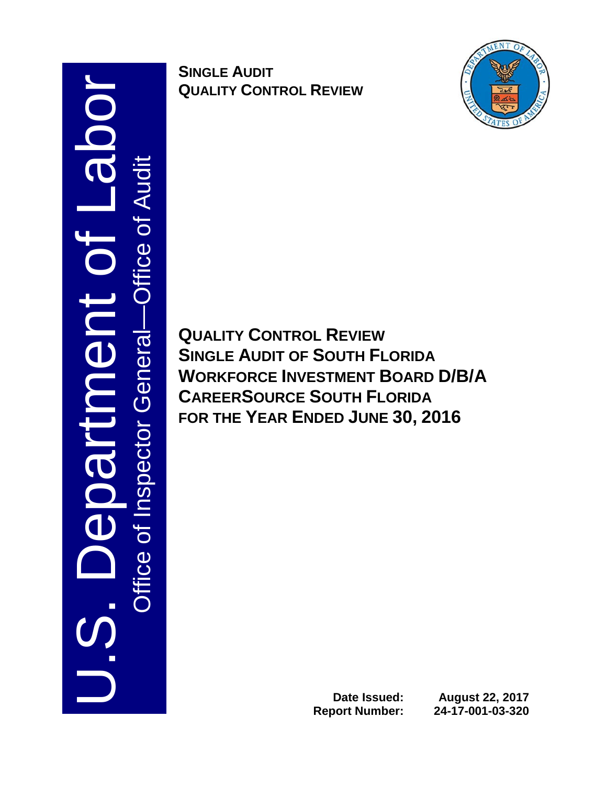# of Labor —Office of AuditAudit U.S. Department Office of Inspector General **Inspector General** Ō  $\frac{1}{2}$

**SINGLE AUDIT QUALITY CONTROL REVIEW**



**QUALITY CONTROL REVIEW SINGLE AUDIT OF SOUTH FLORIDA WORKFORCE INVESTMENT BOARD D/B/A CAREERSOURCE SOUTH FLORIDA FOR THE YEAR ENDED JUNE 30, 2016**

**Report Number:** 

**Date Issued: August 22, 2017**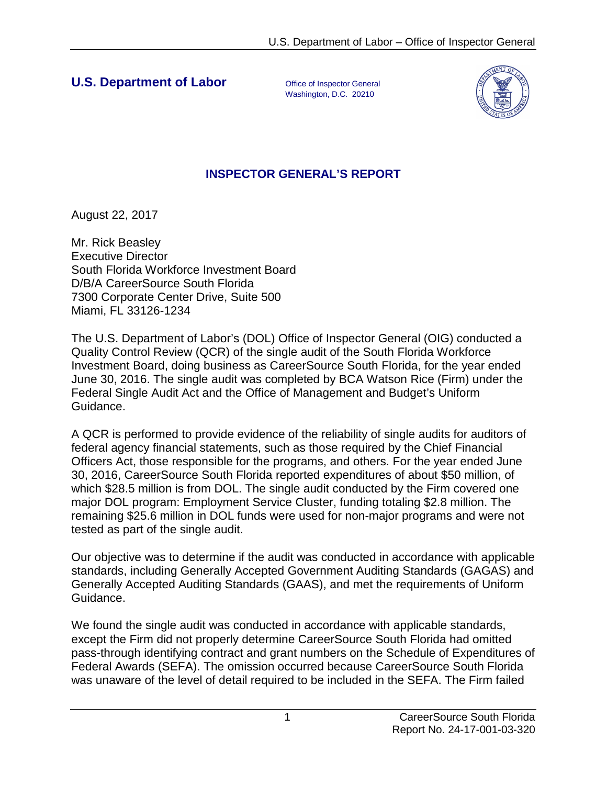**U.S. Department of Labor** Office of Inspector General

Washington, D.C. 20210



# **INSPECTOR GENERAL'S REPORT**

August 22, 2017

Mr. Rick Beasley Executive Director South Florida Workforce Investment Board D/B/A CareerSource South Florida 7300 Corporate Center Drive, Suite 500 Miami, FL 33126-1234

The U.S. Department of Labor's (DOL) Office of Inspector General (OIG) conducted a Quality Control Review (QCR) of the single audit of the South Florida Workforce Investment Board, doing business as CareerSource South Florida, for the year ended June 30, 2016. The single audit was completed by BCA Watson Rice (Firm) under the Federal Single Audit Act and the Office of Management and Budget's Uniform Guidance.

A QCR is performed to provide evidence of the reliability of single audits for auditors of federal agency financial statements, such as those required by the Chief Financial Officers Act, those responsible for the programs, and others. For the year ended June 30, 2016, CareerSource South Florida reported expenditures of about \$50 million, of which \$28.5 million is from DOL. The single audit conducted by the Firm covered one major DOL program: Employment Service Cluster, funding totaling \$2.8 million. The remaining \$25.6 million in DOL funds were used for non-major programs and were not tested as part of the single audit.

Our objective was to determine if the audit was conducted in accordance with applicable standards, including Generally Accepted Government Auditing Standards (GAGAS) and Generally Accepted Auditing Standards (GAAS), and met the requirements of Uniform Guidance.

We found the single audit was conducted in accordance with applicable standards, except the Firm did not properly determine CareerSource South Florida had omitted pass-through identifying contract and grant numbers on the Schedule of Expenditures of Federal Awards (SEFA). The omission occurred because CareerSource South Florida was unaware of the level of detail required to be included in the SEFA. The Firm failed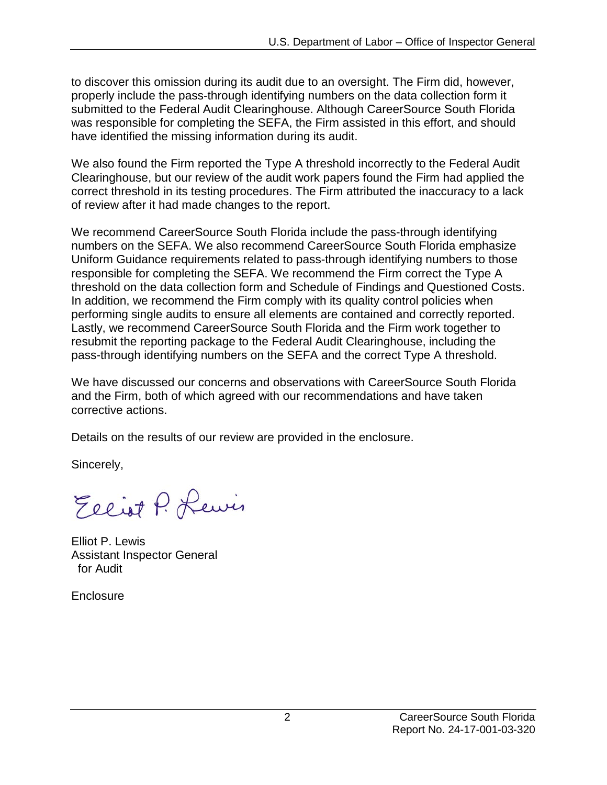to discover this omission during its audit due to an oversight. The Firm did, however, properly include the pass-through identifying numbers on the data collection form it submitted to the Federal Audit Clearinghouse. Although CareerSource South Florida was responsible for completing the SEFA, the Firm assisted in this effort, and should have identified the missing information during its audit.

We also found the Firm reported the Type A threshold incorrectly to the Federal Audit Clearinghouse, but our review of the audit work papers found the Firm had applied the correct threshold in its testing procedures. The Firm attributed the inaccuracy to a lack of review after it had made changes to the report.

We recommend CareerSource South Florida include the pass-through identifying numbers on the SEFA. We also recommend CareerSource South Florida emphasize Uniform Guidance requirements related to pass-through identifying numbers to those responsible for completing the SEFA. We recommend the Firm correct the Type A threshold on the data collection form and Schedule of Findings and Questioned Costs. In addition, we recommend the Firm comply with its quality control policies when performing single audits to ensure all elements are contained and correctly reported. Lastly, we recommend CareerSource South Florida and the Firm work together to resubmit the reporting package to the Federal Audit Clearinghouse, including the pass-through identifying numbers on the SEFA and the correct Type A threshold.

We have discussed our concerns and observations with CareerSource South Florida and the Firm, both of which agreed with our recommendations and have taken corrective actions.

Details on the results of our review are provided in the enclosure.

Sincerely,

Elliot P. Lewis

Elliot P. Lewis Assistant Inspector General for Audit

**Enclosure**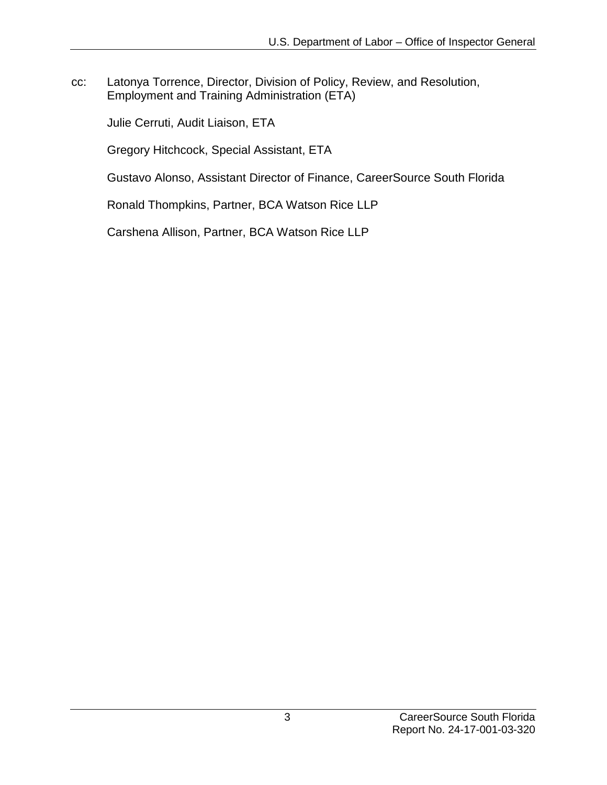cc: Latonya Torrence, Director, Division of Policy, Review, and Resolution, Employment and Training Administration (ETA)

Julie Cerruti, Audit Liaison, ETA

Gregory Hitchcock, Special Assistant, ETA

Gustavo Alonso, Assistant Director of Finance, CareerSource South Florida

Ronald Thompkins, Partner, BCA Watson Rice LLP

Carshena Allison, Partner, BCA Watson Rice LLP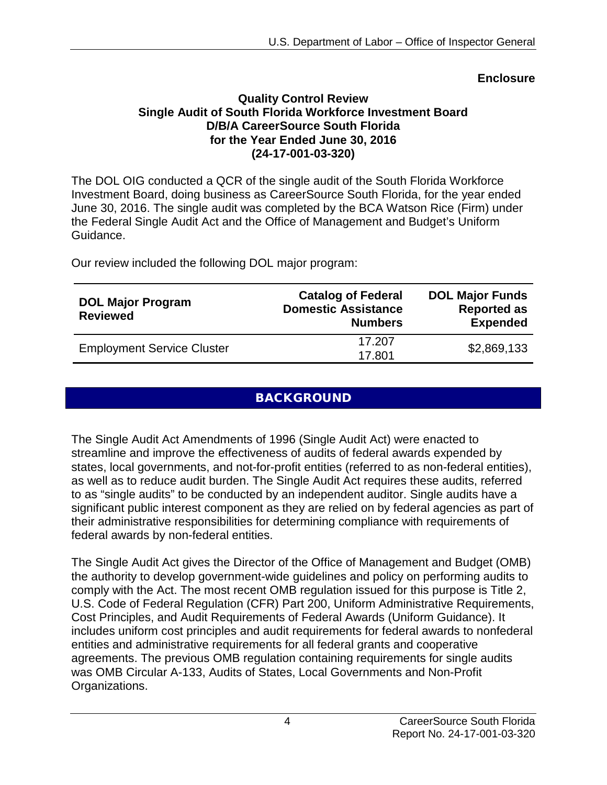# **Enclosure**

#### **Quality Control Review Single Audit of South Florida Workforce Investment Board D/B/A CareerSource South Florida for the Year Ended June 30, 2016 (24-17-001-03-320)**

The DOL OIG conducted a QCR of the single audit of the South Florida Workforce Investment Board, doing business as CareerSource South Florida, for the year ended June 30, 2016. The single audit was completed by the BCA Watson Rice (Firm) under the Federal Single Audit Act and the Office of Management and Budget's Uniform Guidance.

Our review included the following DOL major program:

| <b>DOL Major Program</b><br><b>Reviewed</b> | <b>Catalog of Federal</b><br><b>Domestic Assistance</b><br><b>Numbers</b> | <b>DOL Major Funds</b><br><b>Reported as</b><br><b>Expended</b> |
|---------------------------------------------|---------------------------------------------------------------------------|-----------------------------------------------------------------|
| <b>Employment Service Cluster</b>           | 17.207<br>17.801                                                          | \$2,869,133                                                     |

# **BACKGROUND**

The Single Audit Act Amendments of 1996 (Single Audit Act) were enacted to streamline and improve the effectiveness of audits of federal awards expended by states, local governments, and not-for-profit entities (referred to as non-federal entities), as well as to reduce audit burden. The Single Audit Act requires these audits, referred to as "single audits" to be conducted by an independent auditor. Single audits have a significant public interest component as they are relied on by federal agencies as part of their administrative responsibilities for determining compliance with requirements of federal awards by non-federal entities.

The Single Audit Act gives the Director of the Office of Management and Budget (OMB) the authority to develop government-wide guidelines and policy on performing audits to comply with the Act. The most recent OMB regulation issued for this purpose is Title 2, U.S. Code of Federal Regulation (CFR) Part 200, Uniform Administrative Requirements, Cost Principles, and Audit Requirements of Federal Awards (Uniform Guidance). It includes uniform cost principles and audit requirements for federal awards to nonfederal entities and administrative requirements for all federal grants and cooperative agreements. The previous OMB regulation containing requirements for single audits was OMB Circular A-133, Audits of States, Local Governments and Non-Profit Organizations.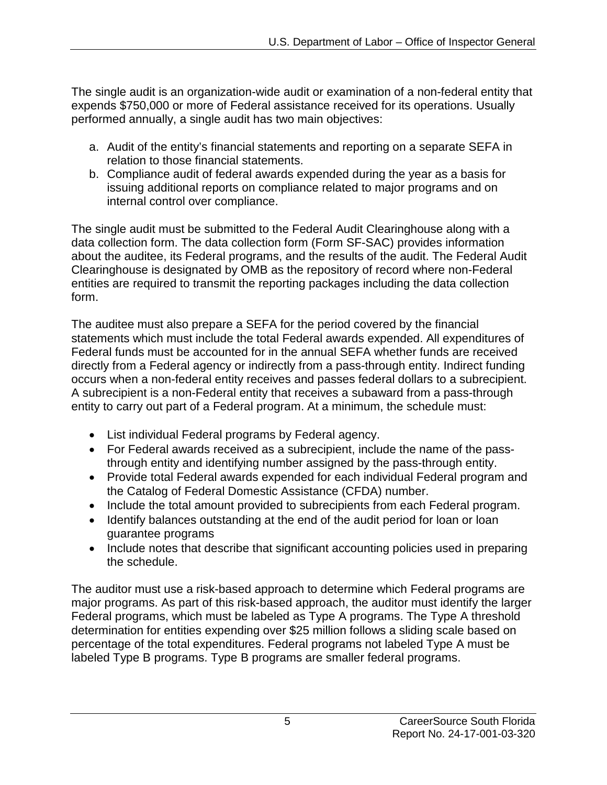The single audit is an organization-wide audit or examination of a non-federal entity that expends \$750,000 or more of Federal assistance received for its operations. Usually performed annually, a single audit has two main objectives:

- a. Audit of the entity's financial statements and reporting on a separate SEFA in relation to those financial statements.
- b. Compliance audit of federal awards expended during the year as a basis for issuing additional reports on compliance related to major programs and on internal control over compliance.

The single audit must be submitted to the Federal Audit Clearinghouse along with a data collection form. The data collection form (Form SF-SAC) provides information about the auditee, its Federal programs, and the results of the audit. The Federal Audit Clearinghouse is designated by OMB as the repository of record where non-Federal entities are required to transmit the reporting packages including the data collection form.

The auditee must also prepare a SEFA for the period covered by the financial statements which must include the total Federal awards expended. All expenditures of Federal funds must be accounted for in the annual SEFA whether funds are received directly from a Federal agency or indirectly from a pass-through entity. Indirect funding occurs when a non-federal entity receives and passes federal dollars to a subrecipient. A subrecipient is a non-Federal entity that receives a subaward from a pass-through entity to carry out part of a Federal program. At a minimum, the schedule must:

- List individual Federal programs by Federal agency.
- For Federal awards received as a subrecipient, include the name of the passthrough entity and identifying number assigned by the pass-through entity.
- Provide total Federal awards expended for each individual Federal program and the Catalog of Federal Domestic Assistance (CFDA) number.
- Include the total amount provided to subrecipients from each Federal program.
- Identify balances outstanding at the end of the audit period for loan or loan guarantee programs
- Include notes that describe that significant accounting policies used in preparing the schedule.

The auditor must use a risk-based approach to determine which Federal programs are major programs. As part of this risk-based approach, the auditor must identify the larger Federal programs, which must be labeled as Type A programs. The Type A threshold determination for entities expending over \$25 million follows a sliding scale based on percentage of the total expenditures. Federal programs not labeled Type A must be labeled Type B programs. Type B programs are smaller federal programs.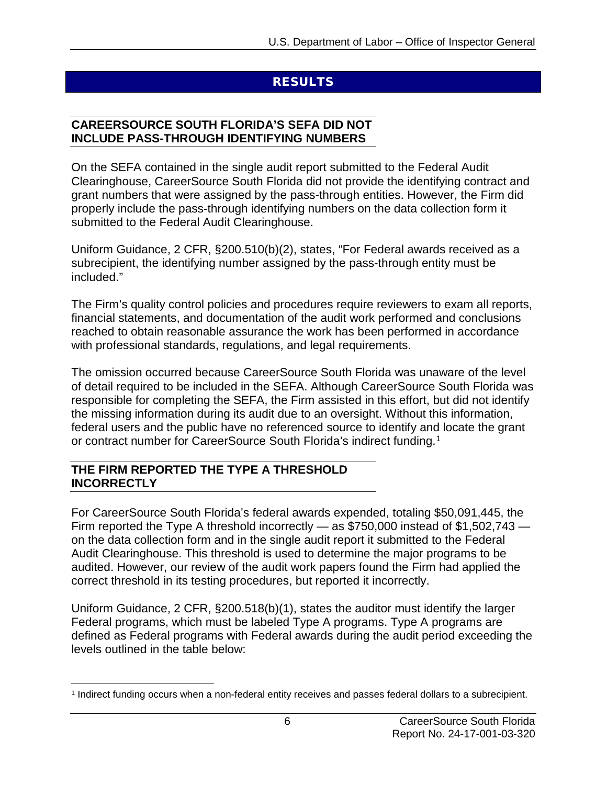# RESULTS

# **CAREERSOURCE SOUTH FLORIDA'S SEFA DID NOT INCLUDE PASS-THROUGH IDENTIFYING NUMBERS**

On the SEFA contained in the single audit report submitted to the Federal Audit Clearinghouse, CareerSource South Florida did not provide the identifying contract and grant numbers that were assigned by the pass-through entities. However, the Firm did properly include the pass-through identifying numbers on the data collection form it submitted to the Federal Audit Clearinghouse.

Uniform Guidance, 2 CFR, §200.510(b)(2), states, "For Federal awards received as a subrecipient, the identifying number assigned by the pass-through entity must be included."

The Firm's quality control policies and procedures require reviewers to exam all reports, financial statements, and documentation of the audit work performed and conclusions reached to obtain reasonable assurance the work has been performed in accordance with professional standards, regulations, and legal requirements.

The omission occurred because CareerSource South Florida was unaware of the level of detail required to be included in the SEFA. Although CareerSource South Florida was responsible for completing the SEFA, the Firm assisted in this effort, but did not identify the missing information during its audit due to an oversight. Without this information, federal users and the public have no referenced source to identify and locate the grant or contract number for CareerSource South Florida's indirect funding.<sup>[1](#page-6-0)</sup>

### **THE FIRM REPORTED THE TYPE A THRESHOLD INCORRECTLY**

For CareerSource South Florida's federal awards expended, totaling \$50,091,445, the Firm reported the Type A threshold incorrectly — as \$750,000 instead of \$1,502,743 on the data collection form and in the single audit report it submitted to the Federal Audit Clearinghouse. This threshold is used to determine the major programs to be audited. However, our review of the audit work papers found the Firm had applied the correct threshold in its testing procedures, but reported it incorrectly.

Uniform Guidance, 2 CFR, §200.518(b)(1), states the auditor must identify the larger Federal [programs,](https://www.law.cornell.edu/definitions/index.php?width=840&height=800&iframe=true&def_id=a1ab435b47bfef725e9aec4c35121657&term_occur=3&term_src=Title:2:Subtitle:A:Chapter:II:Part:200:Subpart:F:Subjgrp:49:200.518) which must be labeled Type A programs. Type A programs are defined as [Federal programs](https://www.law.cornell.edu/definitions/index.php?width=840&height=800&iframe=true&def_id=a1ab435b47bfef725e9aec4c35121657&term_occur=4&term_src=Title:2:Subtitle:A:Chapter:II:Part:200:Subpart:F:Subjgrp:49:200.518) with Federal awards during the audit period exceeding the levels outlined in the table below:

<span id="page-6-0"></span> <sup>1</sup> Indirect funding occurs when a non-federal entity receives and passes federal dollars to a subrecipient.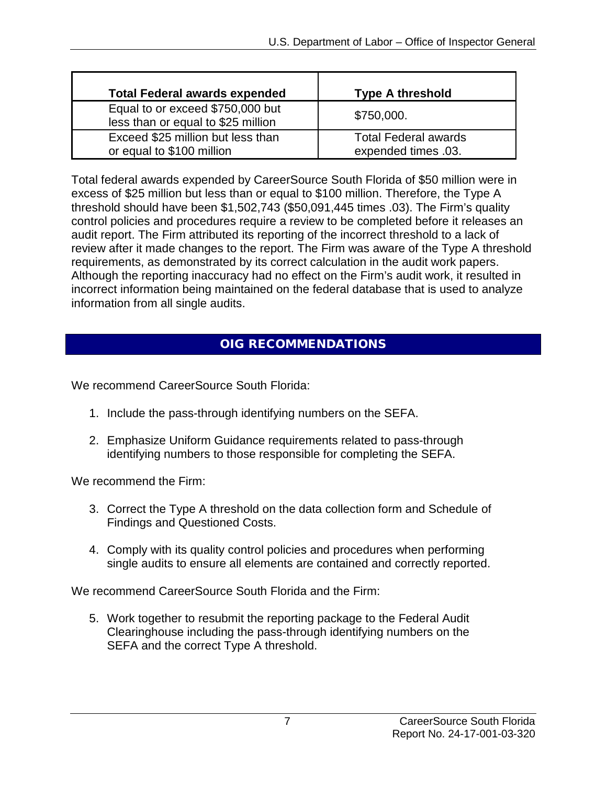| <b>Total Federal awards expended</b>                                   | <b>Type A threshold</b>                            |
|------------------------------------------------------------------------|----------------------------------------------------|
| Equal to or exceed \$750,000 but<br>less than or equal to \$25 million | \$750,000.                                         |
| Exceed \$25 million but less than<br>or equal to \$100 million         | <b>Total Federal awards</b><br>expended times .03. |

Total federal awards expended by CareerSource South Florida of \$50 million were in excess of \$25 million but less than or equal to \$100 million. Therefore, the Type A threshold should have been \$1,502,743 (\$50,091,445 times .03). The Firm's quality control policies and procedures require a review to be completed before it releases an audit report. The Firm attributed its reporting of the incorrect threshold to a lack of review after it made changes to the report. The Firm was aware of the Type A threshold requirements, as demonstrated by its correct calculation in the audit work papers. Although the reporting inaccuracy had no effect on the Firm's audit work, it resulted in incorrect information being maintained on the federal database that is used to analyze information from all single audits.

# OIG RECOMMENDATIONS

We recommend CareerSource South Florida:

- 1. Include the pass-through identifying numbers on the SEFA.
- 2. Emphasize Uniform Guidance requirements related to pass-through identifying numbers to those responsible for completing the SEFA.

We recommend the Firm:

- 3. Correct the Type A threshold on the data collection form and Schedule of Findings and Questioned Costs.
- 4. Comply with its quality control policies and procedures when performing single audits to ensure all elements are contained and correctly reported.

We recommend CareerSource South Florida and the Firm:

5. Work together to resubmit the reporting package to the Federal Audit Clearinghouse including the pass-through identifying numbers on the SEFA and the correct Type A threshold.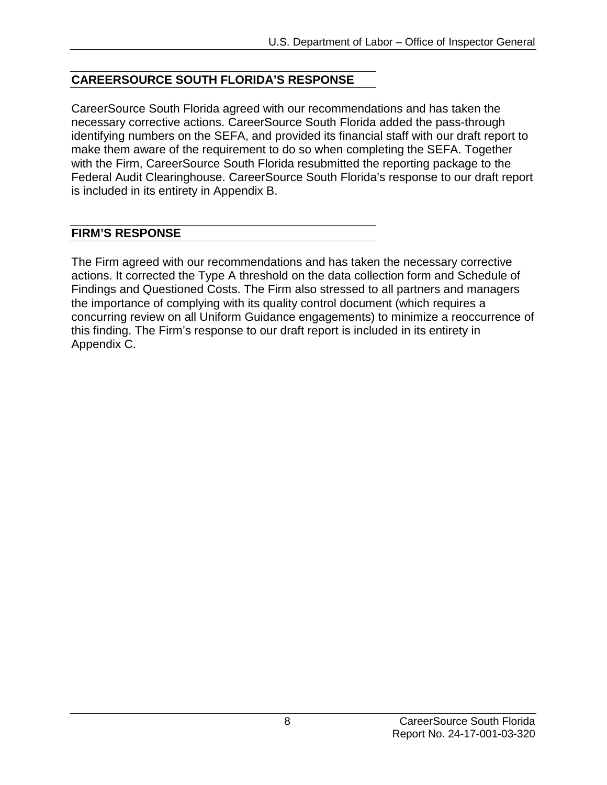# **CAREERSOURCE SOUTH FLORIDA'S RESPONSE**

CareerSource South Florida agreed with our recommendations and has taken the necessary corrective actions. CareerSource South Florida added the pass-through identifying numbers on the SEFA, and provided its financial staff with our draft report to make them aware of the requirement to do so when completing the SEFA. Together with the Firm, CareerSource South Florida resubmitted the reporting package to the Federal Audit Clearinghouse. CareerSource South Florida's response to our draft report is included in its entirety in Appendix B.

# **FIRM'S RESPONSE**

The Firm agreed with our recommendations and has taken the necessary corrective actions. It corrected the Type A threshold on the data collection form and Schedule of Findings and Questioned Costs. The Firm also stressed to all partners and managers the importance of complying with its quality control document (which requires a concurring review on all Uniform Guidance engagements) to minimize a reoccurrence of this finding. The Firm's response to our draft report is included in its entirety in Appendix C.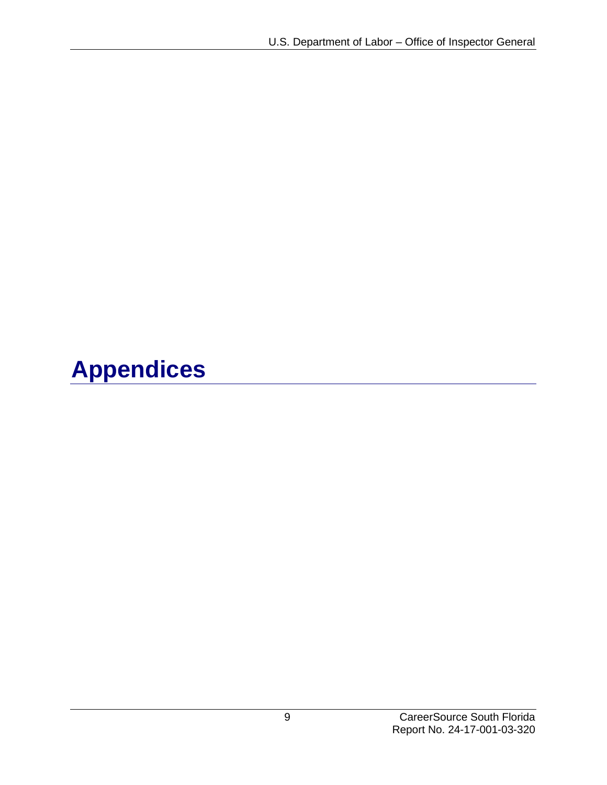# **Appendices**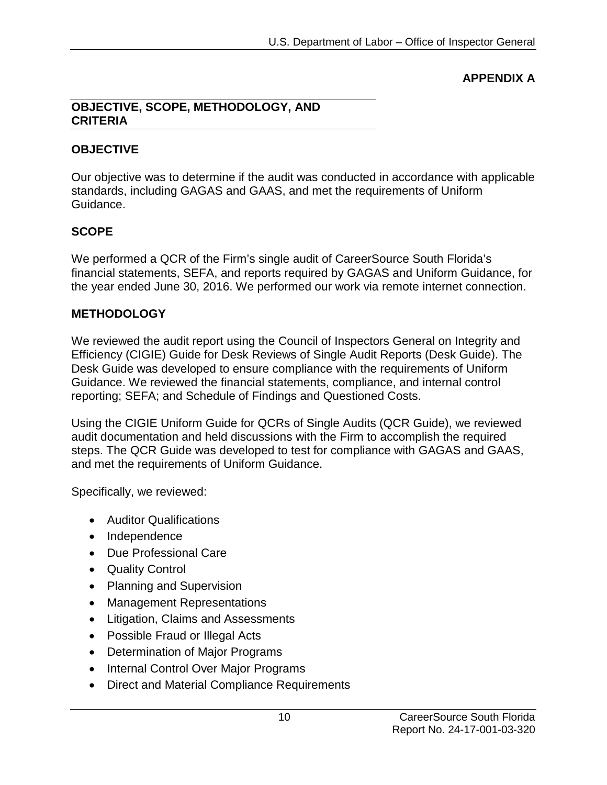**APPENDIX A**

#### **OBJECTIVE, SCOPE, METHODOLOGY, AND CRITERIA**

# **OBJECTIVE**

Our objective was to determine if the audit was conducted in accordance with applicable standards, including GAGAS and GAAS, and met the requirements of Uniform Guidance.

# **SCOPE**

We performed a QCR of the Firm's single audit of CareerSource South Florida's financial statements, SEFA, and reports required by GAGAS and Uniform Guidance, for the year ended June 30, 2016. We performed our work via remote internet connection.

# **METHODOLOGY**

We reviewed the audit report using the Council of Inspectors General on Integrity and Efficiency (CIGIE) Guide for Desk Reviews of Single Audit Reports (Desk Guide). The Desk Guide was developed to ensure compliance with the requirements of Uniform Guidance. We reviewed the financial statements, compliance, and internal control reporting; SEFA; and Schedule of Findings and Questioned Costs.

Using the CIGIE Uniform Guide for QCRs of Single Audits (QCR Guide), we reviewed audit documentation and held discussions with the Firm to accomplish the required steps. The QCR Guide was developed to test for compliance with GAGAS and GAAS, and met the requirements of Uniform Guidance.

Specifically, we reviewed:

- Auditor Qualifications
- Independence
- Due Professional Care
- Quality Control
- Planning and Supervision
- Management Representations
- Litigation, Claims and Assessments
- Possible Fraud or Illegal Acts
- Determination of Major Programs
- Internal Control Over Major Programs
- Direct and Material Compliance Requirements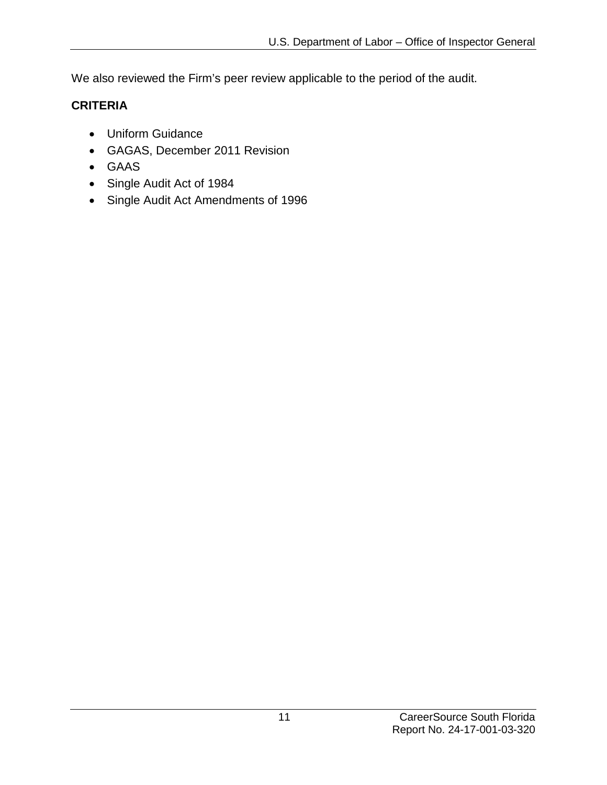We also reviewed the Firm's peer review applicable to the period of the audit.

# **CRITERIA**

- Uniform Guidance
- GAGAS, December 2011 Revision
- GAAS
- Single Audit Act of 1984
- Single Audit Act Amendments of 1996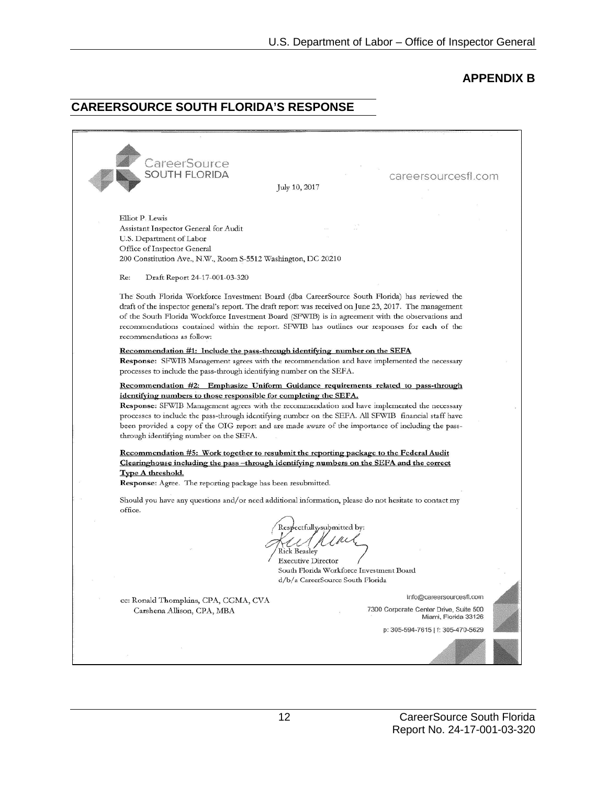#### **APPENDIX B**

#### **CAREERSOURCE SOUTH FLORIDA'S RESPONSE**

CareerSource **SOUTH FLORIDA** careersourcesfl.com July 10, 2017 Elliot P. Lewis Assistant Inspector General for Audit U.S. Department of Labor Office of Inspector General 200 Constitution Ave., N.W., Room S-5512 Washington, DC 20210 Draft Report 24-17-001-03-320 Re: The South Florida Workforce Investment Board (dba CareerSource South Florida) has reviewed the draft of the inspector general's report. The draft report was received on June 23, 2017. The management of the South Florida Workforce Investment Board (SFWIB) is in agreement with the observations and recommendations contained within the report. SFWIB has outlines our responses for each of the recommendations as follow: Recommendation #1: Include the pass-through identifying number on the SEFA Response: SFWIB Management agrees with the recommendation and have implemented the necessary processes to include the pass-through identifying number on the SEFA. Recommendation #2: Emphasize Uniform Guidance requirements related to pass-through identifying numbers to those responsible for completing the SEFA. Response: SFWIB Management agrees with the recommendation and have implemented the necessary processes to include the pass-through identifying number on the SEFA. All SFWIB financial staff have been provided a copy of the OIG report and are made aware of the importance of including the passthrough identifying number on the SEFA. Recommendation #5: Work together to resubmit the reporting package to the Federal Audit Clearinghouse including the pass -through identifying numbers on the SEFA and the correct Type A threshold. Response: Agree. The reporting package has been resubmitted. Should you have any questions and/or need additional information, please do not hesitate to contact my office. ectfully submitted by: **Rick Beasley Executive Director** South Florida Workforce Investment Board d/b/a CareerSource South Florida info@careersourcesfl.com cc: Ronald Thompkins, CPA, CGMA, CVA 7300 Corporate Center Drive, Suite 500 Carshena Allison, CPA, MBA Miami, Florida 33126 p: 305-594-7615 | f: 305-470-5629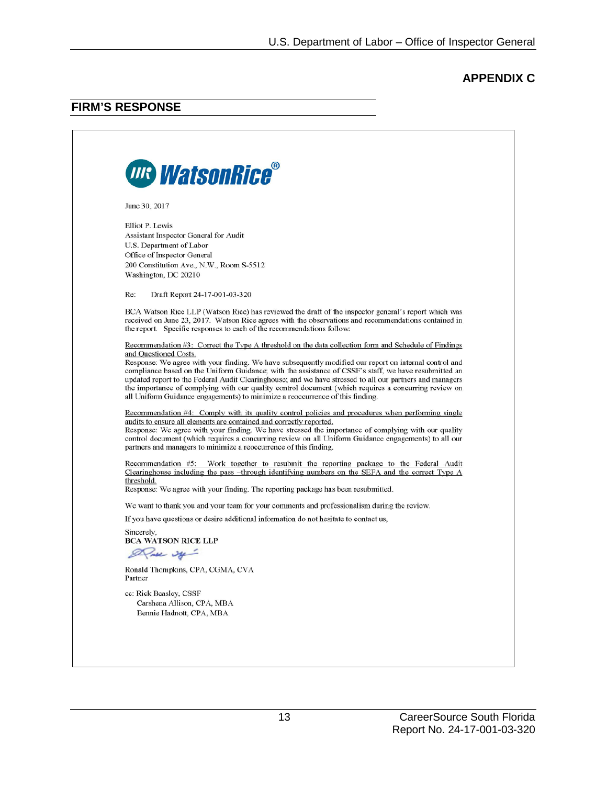# **APPENDIX C**

# **FIRM'S RESPONSE**

|                 | <b>WR WatsonRice®</b>                                                                                                                                                                                                                                                                                                                                                                                                                                                                                                                                                                                                                                 |
|-----------------|-------------------------------------------------------------------------------------------------------------------------------------------------------------------------------------------------------------------------------------------------------------------------------------------------------------------------------------------------------------------------------------------------------------------------------------------------------------------------------------------------------------------------------------------------------------------------------------------------------------------------------------------------------|
| June 30, 2017   |                                                                                                                                                                                                                                                                                                                                                                                                                                                                                                                                                                                                                                                       |
| Elliot P. Lewis | Assistant Inspector General for Audit<br>U.S. Department of Labor<br>Office of Inspector General<br>200 Constitution Ave., N.W., Room S-5512<br>Washington, DC 20210                                                                                                                                                                                                                                                                                                                                                                                                                                                                                  |
| Re:             | Draft Report 24-17-001-03-320                                                                                                                                                                                                                                                                                                                                                                                                                                                                                                                                                                                                                         |
|                 | BCA Watson Rice LLP (Watson Rice) has reviewed the draft of the inspector general's report which was<br>received on June 23, 2017. Watson Rice agrees with the observations and recommendations contained in<br>the report. Specific responses to each of the recommendations follow:                                                                                                                                                                                                                                                                                                                                                                 |
|                 | Recommendation #3: Correct the Type A threshold on the data collection form and Schedule of Findings<br>and Questioned Costs.<br>Response: We agree with your finding. We have subsequently modified our report on internal control and<br>compliance based on the Uniform Guidance, with the assistance of CSSF's staff, we have resubmitted an<br>updated report to the Federal Audit Clearinghouse; and we have stressed to all our partners and managers<br>the importance of complying with our quality control document (which requires a concurring review on<br>all Uniform Guidance engagements) to minimize a reoccurrence of this finding. |
|                 | Recommendation #4: Comply with its quality control policies and procedures when performing single<br>audits to ensure all elements are contained and correctly reported.<br>Response: We agree with your finding. We have stressed the importance of complying with our quality<br>control document (which requires a concurring review on all Uniform Guidance engagements) to all our<br>partners and managers to minimize a reoccurrence of this finding.                                                                                                                                                                                          |
| threshold.      | Recommendation #5: Work together to resubmit the reporting package to the Federal Audit<br>Clearinghouse including the pass -through identifying numbers on the SEFA and the correct Type A<br>Response: We agree with your finding. The reporting package has been resubmitted.                                                                                                                                                                                                                                                                                                                                                                      |
|                 | We want to thank you and your team for your comments and professionalism during the review.                                                                                                                                                                                                                                                                                                                                                                                                                                                                                                                                                           |
|                 | If you have questions or desire additional information do not hesitate to contact us.                                                                                                                                                                                                                                                                                                                                                                                                                                                                                                                                                                 |
| Sincerely,      | <b>BCA WATSON RICE LLP</b><br>Dave of                                                                                                                                                                                                                                                                                                                                                                                                                                                                                                                                                                                                                 |
| Partner         | Ronald Thompkins, CPA, CGMA, CVA                                                                                                                                                                                                                                                                                                                                                                                                                                                                                                                                                                                                                      |
|                 | cc: Rick Beasley, CSSF<br>Carshena Allison, CPA, MBA<br>Bennie Hadnott, CPA, MBA                                                                                                                                                                                                                                                                                                                                                                                                                                                                                                                                                                      |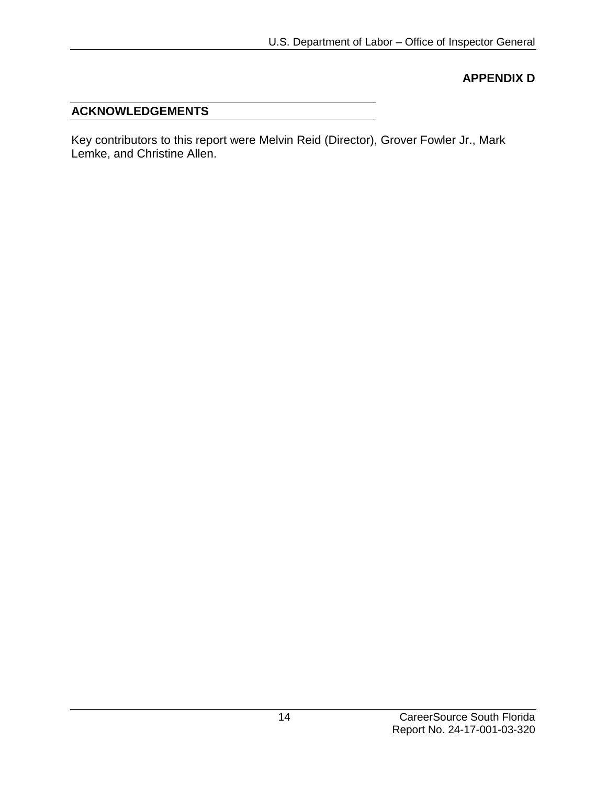# **APPENDIX D**

### **ACKNOWLEDGEMENTS**

Key contributors to this report were Melvin Reid (Director), Grover Fowler Jr., Mark Lemke, and Christine Allen.